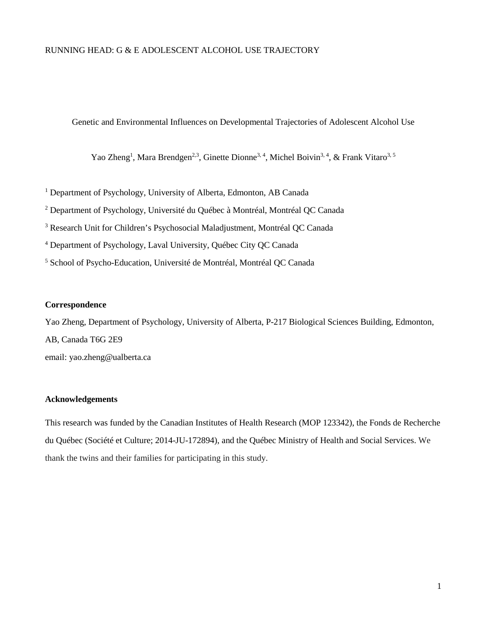## RUNNING HEAD: G & E ADOLESCENT ALCOHOL USE TRAJECTORY

Genetic and Environmental Influences on Developmental Trajectories of Adolescent Alcohol Use

Yao Zheng<sup>1</sup>, Mara Brendgen<sup>2,3</sup>, Ginette Dionne<sup>3, 4</sup>, Michel Boivin<sup>3, 4</sup>, & Frank Vitaro<sup>3, 5</sup>

<sup>1</sup> Department of Psychology, University of Alberta, Edmonton, AB Canada

<sup>2</sup> Department of Psychology, Université du Québec à Montréal, Montréal QC Canada

<sup>3</sup> Research Unit for Children's Psychosocial Maladjustment, Montréal QC Canada

<sup>4</sup> Department of Psychology, Laval University, Québec City QC Canada

<sup>5</sup> School of Psycho-Education, Université de Montréal, Montréal QC Canada

## **Correspondence**

Yao Zheng, Department of Psychology, University of Alberta, P-217 Biological Sciences Building, Edmonton, AB, Canada T6G 2E9 email: yao.zheng@ualberta.ca

## **Acknowledgements**

This research was funded by the Canadian Institutes of Health Research (MOP 123342), the Fonds de Recherche du Québec (Société et Culture; 2014-JU-172894), and the Québec Ministry of Health and Social Services. We thank the twins and their families for participating in this study.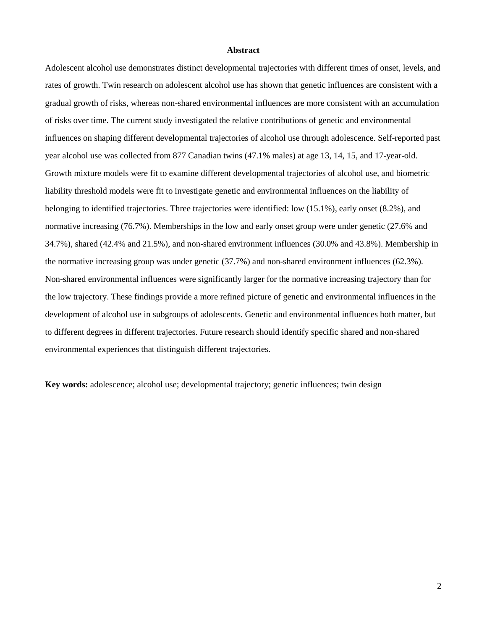#### **Abstract**

Adolescent alcohol use demonstrates distinct developmental trajectories with different times of onset, levels, and rates of growth. Twin research on adolescent alcohol use has shown that genetic influences are consistent with a gradual growth of risks, whereas non-shared environmental influences are more consistent with an accumulation of risks over time. The current study investigated the relative contributions of genetic and environmental influences on shaping different developmental trajectories of alcohol use through adolescence. Self-reported past year alcohol use was collected from 877 Canadian twins (47.1% males) at age 13, 14, 15, and 17-year-old. Growth mixture models were fit to examine different developmental trajectories of alcohol use, and biometric liability threshold models were fit to investigate genetic and environmental influences on the liability of belonging to identified trajectories. Three trajectories were identified: low (15.1%), early onset (8.2%), and normative increasing (76.7%). Memberships in the low and early onset group were under genetic (27.6% and 34.7%), shared (42.4% and 21.5%), and non-shared environment influences (30.0% and 43.8%). Membership in the normative increasing group was under genetic (37.7%) and non-shared environment influences (62.3%). Non-shared environmental influences were significantly larger for the normative increasing trajectory than for the low trajectory. These findings provide a more refined picture of genetic and environmental influences in the development of alcohol use in subgroups of adolescents. Genetic and environmental influences both matter, but to different degrees in different trajectories. Future research should identify specific shared and non-shared environmental experiences that distinguish different trajectories.

**Key words:** adolescence; alcohol use; developmental trajectory; genetic influences; twin design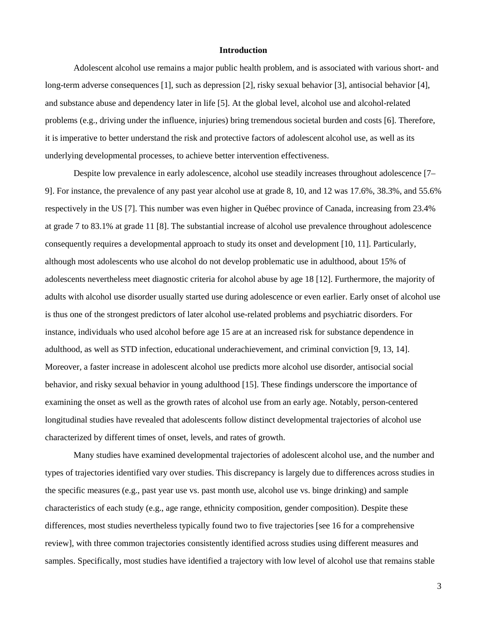#### **Introduction**

Adolescent alcohol use remains a major public health problem, and is associated with various short- and long-term adverse consequences [1], such as depression [2], risky sexual behavior [3], antisocial behavior [4], and substance abuse and dependency later in life [5]. At the global level, alcohol use and alcohol-related problems (e.g., driving under the influence, injuries) bring tremendous societal burden and costs [6]. Therefore, it is imperative to better understand the risk and protective factors of adolescent alcohol use, as well as its underlying developmental processes, to achieve better intervention effectiveness.

Despite low prevalence in early adolescence, alcohol use steadily increases throughout adolescence [7– 9]. For instance, the prevalence of any past year alcohol use at grade 8, 10, and 12 was 17.6%, 38.3%, and 55.6% respectively in the US [7]. This number was even higher in Québec province of Canada, increasing from 23.4% at grade 7 to 83.1% at grade 11 [8]. The substantial increase of alcohol use prevalence throughout adolescence consequently requires a developmental approach to study its onset and development [10, 11]. Particularly, although most adolescents who use alcohol do not develop problematic use in adulthood, about 15% of adolescents nevertheless meet diagnostic criteria for alcohol abuse by age 18 [12]. Furthermore, the majority of adults with alcohol use disorder usually started use during adolescence or even earlier. Early onset of alcohol use is thus one of the strongest predictors of later alcohol use-related problems and psychiatric disorders. For instance, individuals who used alcohol before age 15 are at an increased risk for substance dependence in adulthood, as well as STD infection, educational underachievement, and criminal conviction [9, 13, 14]. Moreover, a faster increase in adolescent alcohol use predicts more alcohol use disorder, antisocial social behavior, and risky sexual behavior in young adulthood [15]. These findings underscore the importance of examining the onset as well as the growth rates of alcohol use from an early age. Notably, person-centered longitudinal studies have revealed that adolescents follow distinct developmental trajectories of alcohol use characterized by different times of onset, levels, and rates of growth.

Many studies have examined developmental trajectories of adolescent alcohol use, and the number and types of trajectories identified vary over studies. This discrepancy is largely due to differences across studies in the specific measures (e.g., past year use vs. past month use, alcohol use vs. binge drinking) and sample characteristics of each study (e.g., age range, ethnicity composition, gender composition). Despite these differences, most studies nevertheless typically found two to five trajectories [see 16 for a comprehensive review], with three common trajectories consistently identified across studies using different measures and samples. Specifically, most studies have identified a trajectory with low level of alcohol use that remains stable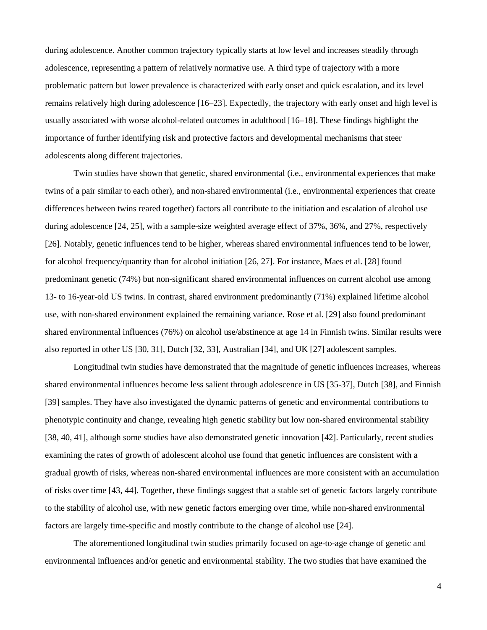during adolescence. Another common trajectory typically starts at low level and increases steadily through adolescence, representing a pattern of relatively normative use. A third type of trajectory with a more problematic pattern but lower prevalence is characterized with early onset and quick escalation, and its level remains relatively high during adolescence [16–23]. Expectedly, the trajectory with early onset and high level is usually associated with worse alcohol-related outcomes in adulthood [16–18]. These findings highlight the importance of further identifying risk and protective factors and developmental mechanisms that steer adolescents along different trajectories.

Twin studies have shown that genetic, shared environmental (i.e., environmental experiences that make twins of a pair similar to each other), and non-shared environmental (i.e., environmental experiences that create differences between twins reared together) factors all contribute to the initiation and escalation of alcohol use during adolescence [24, 25], with a sample-size weighted average effect of 37%, 36%, and 27%, respectively [26]. Notably, genetic influences tend to be higher, whereas shared environmental influences tend to be lower, for alcohol frequency/quantity than for alcohol initiation [26, 27]. For instance, Maes et al. [28] found predominant genetic (74%) but non-significant shared environmental influences on current alcohol use among 13- to 16-year-old US twins. In contrast, shared environment predominantly (71%) explained lifetime alcohol use, with non-shared environment explained the remaining variance. Rose et al. [29] also found predominant shared environmental influences (76%) on alcohol use/abstinence at age 14 in Finnish twins. Similar results were also reported in other US [30, 31], Dutch [32, 33], Australian [34], and UK [27] adolescent samples.

Longitudinal twin studies have demonstrated that the magnitude of genetic influences increases, whereas shared environmental influences become less salient through adolescence in US [35-37], Dutch [38], and Finnish [39] samples. They have also investigated the dynamic patterns of genetic and environmental contributions to phenotypic continuity and change, revealing high genetic stability but low non-shared environmental stability [38, 40, 41], although some studies have also demonstrated genetic innovation [42]. Particularly, recent studies examining the rates of growth of adolescent alcohol use found that genetic influences are consistent with a gradual growth of risks, whereas non-shared environmental influences are more consistent with an accumulation of risks over time [43, 44]. Together, these findings suggest that a stable set of genetic factors largely contribute to the stability of alcohol use, with new genetic factors emerging over time, while non-shared environmental factors are largely time-specific and mostly contribute to the change of alcohol use [24].

The aforementioned longitudinal twin studies primarily focused on age-to-age change of genetic and environmental influences and/or genetic and environmental stability. The two studies that have examined the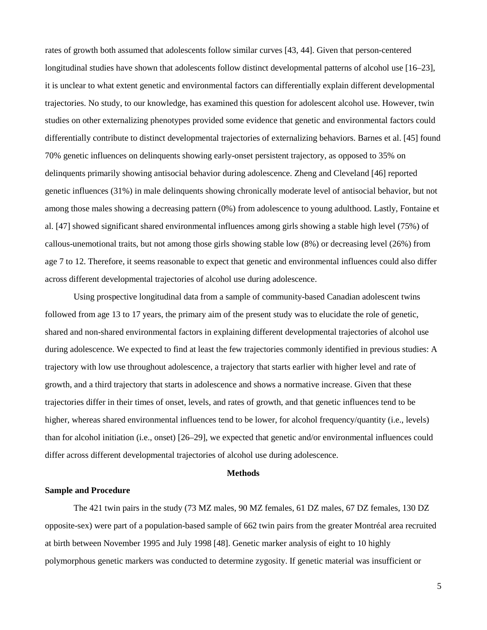rates of growth both assumed that adolescents follow similar curves [43, 44]. Given that person-centered longitudinal studies have shown that adolescents follow distinct developmental patterns of alcohol use [16–23], it is unclear to what extent genetic and environmental factors can differentially explain different developmental trajectories. No study, to our knowledge, has examined this question for adolescent alcohol use. However, twin studies on other externalizing phenotypes provided some evidence that genetic and environmental factors could differentially contribute to distinct developmental trajectories of externalizing behaviors. Barnes et al. [45] found 70% genetic influences on delinquents showing early-onset persistent trajectory, as opposed to 35% on delinquents primarily showing antisocial behavior during adolescence. Zheng and Cleveland [46] reported genetic influences (31%) in male delinquents showing chronically moderate level of antisocial behavior, but not among those males showing a decreasing pattern (0%) from adolescence to young adulthood. Lastly, Fontaine et al. [47] showed significant shared environmental influences among girls showing a stable high level (75%) of callous-unemotional traits, but not among those girls showing stable low (8%) or decreasing level (26%) from age 7 to 12. Therefore, it seems reasonable to expect that genetic and environmental influences could also differ across different developmental trajectories of alcohol use during adolescence.

Using prospective longitudinal data from a sample of community-based Canadian adolescent twins followed from age 13 to 17 years, the primary aim of the present study was to elucidate the role of genetic, shared and non-shared environmental factors in explaining different developmental trajectories of alcohol use during adolescence. We expected to find at least the few trajectories commonly identified in previous studies: A trajectory with low use throughout adolescence, a trajectory that starts earlier with higher level and rate of growth, and a third trajectory that starts in adolescence and shows a normative increase. Given that these trajectories differ in their times of onset, levels, and rates of growth, and that genetic influences tend to be higher, whereas shared environmental influences tend to be lower, for alcohol frequency/quantity (i.e., levels) than for alcohol initiation (i.e., onset) [26–29], we expected that genetic and/or environmental influences could differ across different developmental trajectories of alcohol use during adolescence.

### **Methods**

## **Sample and Procedure**

The 421 twin pairs in the study (73 MZ males, 90 MZ females, 61 DZ males, 67 DZ females, 130 DZ opposite-sex) were part of a population-based sample of 662 twin pairs from the greater Montréal area recruited at birth between November 1995 and July 1998 [48]. Genetic marker analysis of eight to 10 highly polymorphous genetic markers was conducted to determine zygosity. If genetic material was insufficient or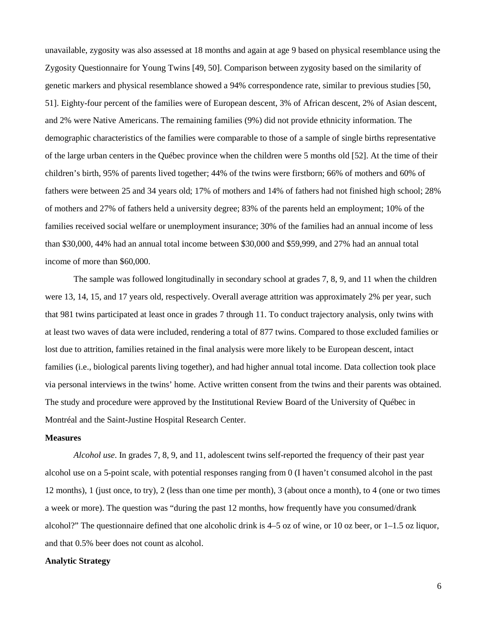unavailable, zygosity was also assessed at 18 months and again at age 9 based on physical resemblance using the Zygosity Questionnaire for Young Twins [49, 50]. Comparison between zygosity based on the similarity of genetic markers and physical resemblance showed a 94% correspondence rate, similar to previous studies [50, 51]. Eighty-four percent of the families were of European descent, 3% of African descent, 2% of Asian descent, and 2% were Native Americans. The remaining families (9%) did not provide ethnicity information. The demographic characteristics of the families were comparable to those of a sample of single births representative of the large urban centers in the Québec province when the children were 5 months old [52]. At the time of their children's birth, 95% of parents lived together; 44% of the twins were firstborn; 66% of mothers and 60% of fathers were between 25 and 34 years old; 17% of mothers and 14% of fathers had not finished high school; 28% of mothers and 27% of fathers held a university degree; 83% of the parents held an employment; 10% of the families received social welfare or unemployment insurance; 30% of the families had an annual income of less than \$30,000, 44% had an annual total income between \$30,000 and \$59,999, and 27% had an annual total income of more than \$60,000.

The sample was followed longitudinally in secondary school at grades 7, 8, 9, and 11 when the children were 13, 14, 15, and 17 years old, respectively. Overall average attrition was approximately 2% per year, such that 981 twins participated at least once in grades 7 through 11. To conduct trajectory analysis, only twins with at least two waves of data were included, rendering a total of 877 twins. Compared to those excluded families or lost due to attrition, families retained in the final analysis were more likely to be European descent, intact families (i.e., biological parents living together), and had higher annual total income. Data collection took place via personal interviews in the twins' home. Active written consent from the twins and their parents was obtained. The study and procedure were approved by the Institutional Review Board of the University of Québec in Montréal and the Saint-Justine Hospital Research Center.

## **Measures**

*Alcohol use*. In grades 7, 8, 9, and 11, adolescent twins self-reported the frequency of their past year alcohol use on a 5-point scale, with potential responses ranging from 0 (I haven't consumed alcohol in the past 12 months), 1 (just once, to try), 2 (less than one time per month), 3 (about once a month), to 4 (one or two times a week or more). The question was "during the past 12 months, how frequently have you consumed/drank alcohol?" The questionnaire defined that one alcoholic drink is 4–5 oz of wine, or 10 oz beer, or 1–1.5 oz liquor, and that 0.5% beer does not count as alcohol.

### **Analytic Strategy**

6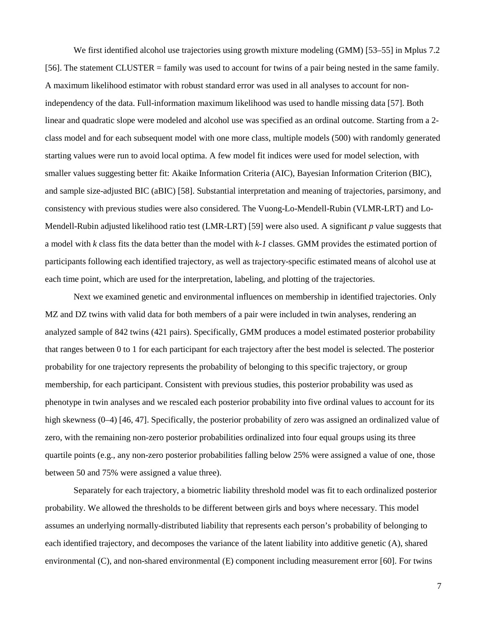We first identified alcohol use trajectories using growth mixture modeling (GMM) [53–55] in Mplus 7.2 [56]. The statement CLUSTER = family was used to account for twins of a pair being nested in the same family. A maximum likelihood estimator with robust standard error was used in all analyses to account for nonindependency of the data. Full-information maximum likelihood was used to handle missing data [57]. Both linear and quadratic slope were modeled and alcohol use was specified as an ordinal outcome. Starting from a 2 class model and for each subsequent model with one more class, multiple models (500) with randomly generated starting values were run to avoid local optima. A few model fit indices were used for model selection, with smaller values suggesting better fit: Akaike Information Criteria (AIC), Bayesian Information Criterion (BIC), and sample size-adjusted BIC (aBIC) [58]. Substantial interpretation and meaning of trajectories, parsimony, and consistency with previous studies were also considered. The Vuong-Lo-Mendell-Rubin (VLMR-LRT) and Lo-Mendell-Rubin adjusted likelihood ratio test (LMR-LRT) [59] were also used. A significant *p* value suggests that a model with *k* class fits the data better than the model with *k-1* classes. GMM provides the estimated portion of participants following each identified trajectory, as well as trajectory-specific estimated means of alcohol use at each time point, which are used for the interpretation, labeling, and plotting of the trajectories.

Next we examined genetic and environmental influences on membership in identified trajectories. Only MZ and DZ twins with valid data for both members of a pair were included in twin analyses, rendering an analyzed sample of 842 twins (421 pairs). Specifically, GMM produces a model estimated posterior probability that ranges between 0 to 1 for each participant for each trajectory after the best model is selected. The posterior probability for one trajectory represents the probability of belonging to this specific trajectory, or group membership, for each participant. Consistent with previous studies, this posterior probability was used as phenotype in twin analyses and we rescaled each posterior probability into five ordinal values to account for its high skewness (0–4) [46, 47]. Specifically, the posterior probability of zero was assigned an ordinalized value of zero, with the remaining non-zero posterior probabilities ordinalized into four equal groups using its three quartile points (e.g., any non-zero posterior probabilities falling below 25% were assigned a value of one, those between 50 and 75% were assigned a value three).

Separately for each trajectory, a biometric liability threshold model was fit to each ordinalized posterior probability. We allowed the thresholds to be different between girls and boys where necessary. This model assumes an underlying normally-distributed liability that represents each person's probability of belonging to each identified trajectory, and decomposes the variance of the latent liability into additive genetic (A), shared environmental (C), and non-shared environmental (E) component including measurement error [60]. For twins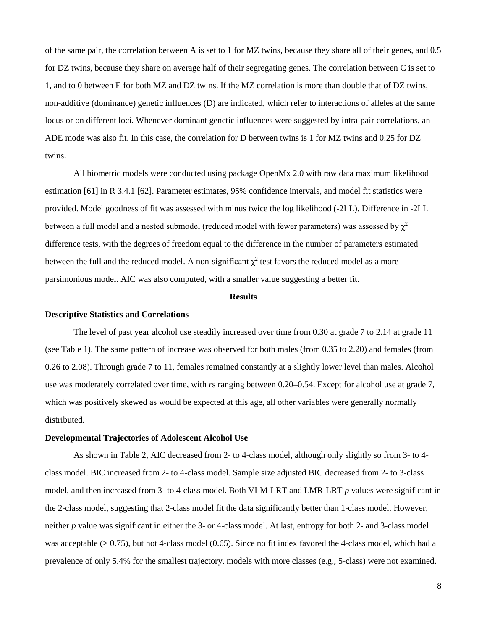of the same pair, the correlation between A is set to 1 for MZ twins, because they share all of their genes, and 0.5 for DZ twins, because they share on average half of their segregating genes. The correlation between C is set to 1, and to 0 between E for both MZ and DZ twins. If the MZ correlation is more than double that of DZ twins, non-additive (dominance) genetic influences (D) are indicated, which refer to interactions of alleles at the same locus or on different loci. Whenever dominant genetic influences were suggested by intra-pair correlations, an ADE mode was also fit. In this case, the correlation for D between twins is 1 for MZ twins and 0.25 for DZ twins.

All biometric models were conducted using package OpenMx 2.0 with raw data maximum likelihood estimation [61] in R 3.4.1 [62]. Parameter estimates, 95% confidence intervals, and model fit statistics were provided. Model goodness of fit was assessed with minus twice the log likelihood (-2LL). Difference in -2LL between a full model and a nested submodel (reduced model with fewer parameters) was assessed by  $\chi^2$ difference tests, with the degrees of freedom equal to the difference in the number of parameters estimated between the full and the reduced model. A non-significant  $\chi^2$  test favors the reduced model as a more parsimonious model. AIC was also computed, with a smaller value suggesting a better fit.

#### **Results**

### **Descriptive Statistics and Correlations**

The level of past year alcohol use steadily increased over time from 0.30 at grade 7 to 2.14 at grade 11 (see Table 1). The same pattern of increase was observed for both males (from 0.35 to 2.20) and females (from 0.26 to 2.08). Through grade 7 to 11, females remained constantly at a slightly lower level than males. Alcohol use was moderately correlated over time, with *r*s ranging between 0.20–0.54. Except for alcohol use at grade 7, which was positively skewed as would be expected at this age, all other variables were generally normally distributed.

## **Developmental Trajectories of Adolescent Alcohol Use**

As shown in Table 2, AIC decreased from 2- to 4-class model, although only slightly so from 3- to 4 class model. BIC increased from 2- to 4-class model. Sample size adjusted BIC decreased from 2- to 3-class model, and then increased from 3- to 4-class model. Both VLM-LRT and LMR-LRT *p* values were significant in the 2-class model, suggesting that 2-class model fit the data significantly better than 1-class model. However, neither *p* value was significant in either the 3- or 4-class model. At last, entropy for both 2- and 3-class model was acceptable  $(> 0.75)$ , but not 4-class model  $(0.65)$ . Since no fit index favored the 4-class model, which had a prevalence of only 5.4% for the smallest trajectory, models with more classes (e.g., 5-class) were not examined.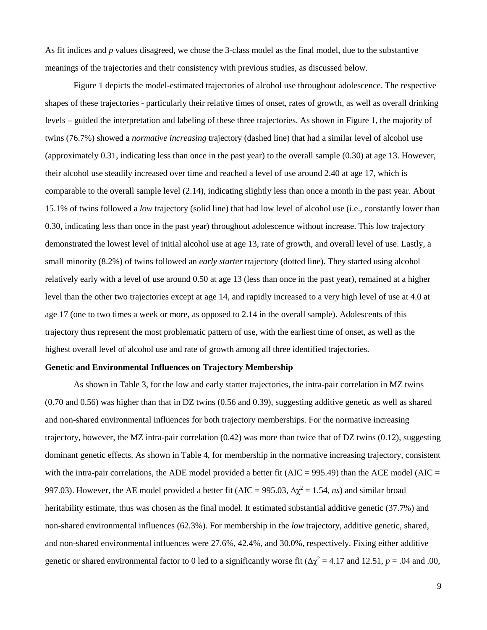As fit indices and *p* values disagreed, we chose the 3-class model as the final model, due to the substantive meanings of the trajectories and their consistency with previous studies, as discussed below.

Figure 1 depicts the model-estimated trajectories of alcohol use throughout adolescence. The respective shapes of these trajectories - particularly their relative times of onset, rates of growth, as well as overall drinking levels – guided the interpretation and labeling of these three trajectories. As shown in Figure 1, the majority of twins (76.7%) showed a *normative increasing* trajectory (dashed line) that had a similar level of alcohol use (approximately 0.31, indicating less than once in the past year) to the overall sample (0.30) at age 13. However, their alcohol use steadily increased over time and reached a level of use around 2.40 at age 17, which is comparable to the overall sample level (2.14), indicating slightly less than once a month in the past year. About 15.1% of twins followed a *low* trajectory (solid line) that had low level of alcohol use (i.e., constantly lower than 0.30, indicating less than once in the past year) throughout adolescence without increase. This low trajectory demonstrated the lowest level of initial alcohol use at age 13, rate of growth, and overall level of use. Lastly, a small minority (8.2%) of twins followed an *early starter* trajectory (dotted line). They started using alcohol relatively early with a level of use around 0.50 at age 13 (less than once in the past year), remained at a higher level than the other two trajectories except at age 14, and rapidly increased to a very high level of use at 4.0 at age 17 (one to two times a week or more, as opposed to 2.14 in the overall sample). Adolescents of this trajectory thus represent the most problematic pattern of use, with the earliest time of onset, as well as the highest overall level of alcohol use and rate of growth among all three identified trajectories.

## **Genetic and Environmental Influences on Trajectory Membership**

As shown in Table 3, for the low and early starter trajectories, the intra-pair correlation in MZ twins (0.70 and 0.56) was higher than that in DZ twins (0.56 and 0.39), suggesting additive genetic as well as shared and non-shared environmental influences for both trajectory memberships. For the normative increasing trajectory, however, the MZ intra-pair correlation (0.42) was more than twice that of DZ twins (0.12), suggesting dominant genetic effects. As shown in Table 4, for membership in the normative increasing trajectory, consistent with the intra-pair correlations, the ADE model provided a better fit ( $AIC = 995.49$ ) than the ACE model ( $AIC =$ 997.03). However, the AE model provided a better fit (AIC = 995.03,  $\Delta \chi^2 = 1.54$ , *ns*) and similar broad heritability estimate, thus was chosen as the final model. It estimated substantial additive genetic (37.7%) and non-shared environmental influences (62.3%). For membership in the *low* trajectory, additive genetic, shared, and non-shared environmental influences were 27.6%, 42.4%, and 30.0%, respectively. Fixing either additive genetic or shared environmental factor to 0 led to a significantly worse fit ( $\Delta \chi^2 = 4.17$  and 12.51, *p* = .04 and .00,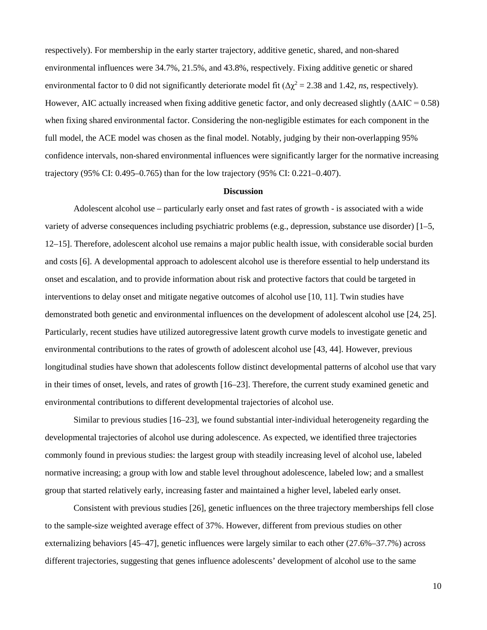respectively). For membership in the early starter trajectory, additive genetic, shared, and non-shared environmental influences were 34.7%, 21.5%, and 43.8%, respectively. Fixing additive genetic or shared environmental factor to 0 did not significantly deteriorate model fit ( $\Delta \chi^2 = 2.38$  and 1.42, *ns*, respectively). However, AIC actually increased when fixing additive genetic factor, and only decreased slightly  $(\Delta AIC = 0.58)$ when fixing shared environmental factor. Considering the non-negligible estimates for each component in the full model, the ACE model was chosen as the final model. Notably, judging by their non-overlapping 95% confidence intervals, non-shared environmental influences were significantly larger for the normative increasing trajectory (95% CI: 0.495–0.765) than for the low trajectory (95% CI: 0.221–0.407).

#### **Discussion**

Adolescent alcohol use – particularly early onset and fast rates of growth - is associated with a wide variety of adverse consequences including psychiatric problems (e.g., depression, substance use disorder) [1–5, 12–15]. Therefore, adolescent alcohol use remains a major public health issue, with considerable social burden and costs [6]. A developmental approach to adolescent alcohol use is therefore essential to help understand its onset and escalation, and to provide information about risk and protective factors that could be targeted in interventions to delay onset and mitigate negative outcomes of alcohol use [10, 11]. Twin studies have demonstrated both genetic and environmental influences on the development of adolescent alcohol use [24, 25]. Particularly, recent studies have utilized autoregressive latent growth curve models to investigate genetic and environmental contributions to the rates of growth of adolescent alcohol use [43, 44]. However, previous longitudinal studies have shown that adolescents follow distinct developmental patterns of alcohol use that vary in their times of onset, levels, and rates of growth [16–23]. Therefore, the current study examined genetic and environmental contributions to different developmental trajectories of alcohol use.

Similar to previous studies [16–23], we found substantial inter-individual heterogeneity regarding the developmental trajectories of alcohol use during adolescence. As expected, we identified three trajectories commonly found in previous studies: the largest group with steadily increasing level of alcohol use, labeled normative increasing; a group with low and stable level throughout adolescence, labeled low; and a smallest group that started relatively early, increasing faster and maintained a higher level, labeled early onset.

Consistent with previous studies [26], genetic influences on the three trajectory memberships fell close to the sample-size weighted average effect of 37%. However, different from previous studies on other externalizing behaviors [45–47], genetic influences were largely similar to each other (27.6%–37.7%) across different trajectories, suggesting that genes influence adolescents' development of alcohol use to the same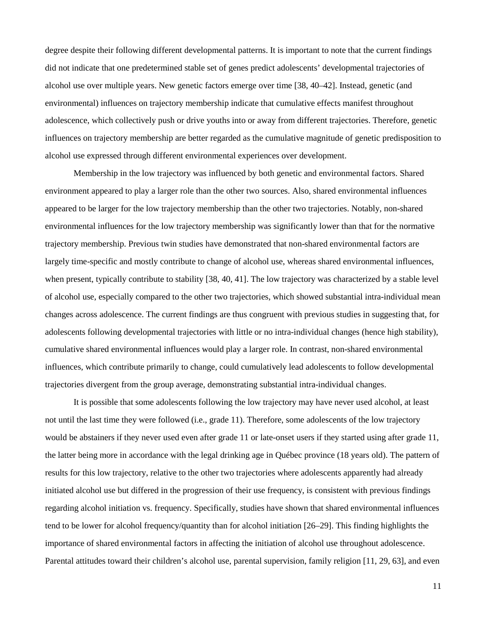degree despite their following different developmental patterns. It is important to note that the current findings did not indicate that one predetermined stable set of genes predict adolescents' developmental trajectories of alcohol use over multiple years. New genetic factors emerge over time [38, 40–42]. Instead, genetic (and environmental) influences on trajectory membership indicate that cumulative effects manifest throughout adolescence, which collectively push or drive youths into or away from different trajectories. Therefore, genetic influences on trajectory membership are better regarded as the cumulative magnitude of genetic predisposition to alcohol use expressed through different environmental experiences over development.

Membership in the low trajectory was influenced by both genetic and environmental factors. Shared environment appeared to play a larger role than the other two sources. Also, shared environmental influences appeared to be larger for the low trajectory membership than the other two trajectories. Notably, non-shared environmental influences for the low trajectory membership was significantly lower than that for the normative trajectory membership. Previous twin studies have demonstrated that non-shared environmental factors are largely time-specific and mostly contribute to change of alcohol use, whereas shared environmental influences, when present, typically contribute to stability [38, 40, 41]. The low trajectory was characterized by a stable level of alcohol use, especially compared to the other two trajectories, which showed substantial intra-individual mean changes across adolescence. The current findings are thus congruent with previous studies in suggesting that, for adolescents following developmental trajectories with little or no intra-individual changes (hence high stability), cumulative shared environmental influences would play a larger role. In contrast, non-shared environmental influences, which contribute primarily to change, could cumulatively lead adolescents to follow developmental trajectories divergent from the group average, demonstrating substantial intra-individual changes.

It is possible that some adolescents following the low trajectory may have never used alcohol, at least not until the last time they were followed (i.e., grade 11). Therefore, some adolescents of the low trajectory would be abstainers if they never used even after grade 11 or late-onset users if they started using after grade 11, the latter being more in accordance with the legal drinking age in Québec province (18 years old). The pattern of results for this low trajectory, relative to the other two trajectories where adolescents apparently had already initiated alcohol use but differed in the progression of their use frequency, is consistent with previous findings regarding alcohol initiation vs. frequency. Specifically, studies have shown that shared environmental influences tend to be lower for alcohol frequency/quantity than for alcohol initiation [26–29]. This finding highlights the importance of shared environmental factors in affecting the initiation of alcohol use throughout adolescence. Parental attitudes toward their children's alcohol use, parental supervision, family religion [11, 29, 63], and even

11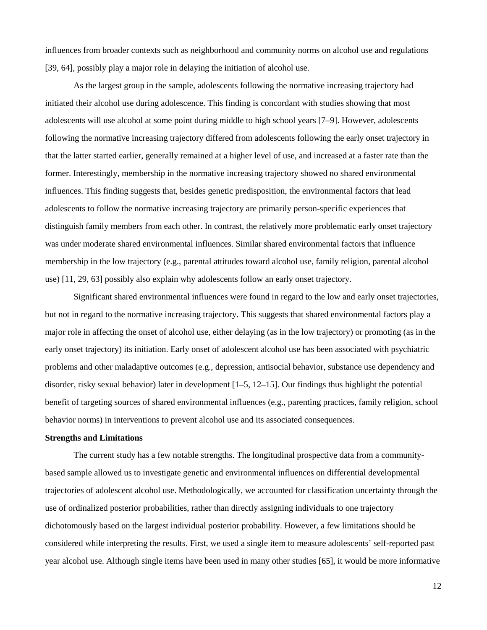influences from broader contexts such as neighborhood and community norms on alcohol use and regulations [39, 64], possibly play a major role in delaying the initiation of alcohol use.

As the largest group in the sample, adolescents following the normative increasing trajectory had initiated their alcohol use during adolescence. This finding is concordant with studies showing that most adolescents will use alcohol at some point during middle to high school years [7–9]. However, adolescents following the normative increasing trajectory differed from adolescents following the early onset trajectory in that the latter started earlier, generally remained at a higher level of use, and increased at a faster rate than the former. Interestingly, membership in the normative increasing trajectory showed no shared environmental influences. This finding suggests that, besides genetic predisposition, the environmental factors that lead adolescents to follow the normative increasing trajectory are primarily person-specific experiences that distinguish family members from each other. In contrast, the relatively more problematic early onset trajectory was under moderate shared environmental influences. Similar shared environmental factors that influence membership in the low trajectory (e.g., parental attitudes toward alcohol use, family religion, parental alcohol use) [11, 29, 63] possibly also explain why adolescents follow an early onset trajectory.

Significant shared environmental influences were found in regard to the low and early onset trajectories, but not in regard to the normative increasing trajectory. This suggests that shared environmental factors play a major role in affecting the onset of alcohol use, either delaying (as in the low trajectory) or promoting (as in the early onset trajectory) its initiation. Early onset of adolescent alcohol use has been associated with psychiatric problems and other maladaptive outcomes (e.g., depression, antisocial behavior, substance use dependency and disorder, risky sexual behavior) later in development [1–5, 12–15]. Our findings thus highlight the potential benefit of targeting sources of shared environmental influences (e.g., parenting practices, family religion, school behavior norms) in interventions to prevent alcohol use and its associated consequences.

## **Strengths and Limitations**

The current study has a few notable strengths. The longitudinal prospective data from a communitybased sample allowed us to investigate genetic and environmental influences on differential developmental trajectories of adolescent alcohol use. Methodologically, we accounted for classification uncertainty through the use of ordinalized posterior probabilities, rather than directly assigning individuals to one trajectory dichotomously based on the largest individual posterior probability. However, a few limitations should be considered while interpreting the results. First, we used a single item to measure adolescents' self-reported past year alcohol use. Although single items have been used in many other studies [65], it would be more informative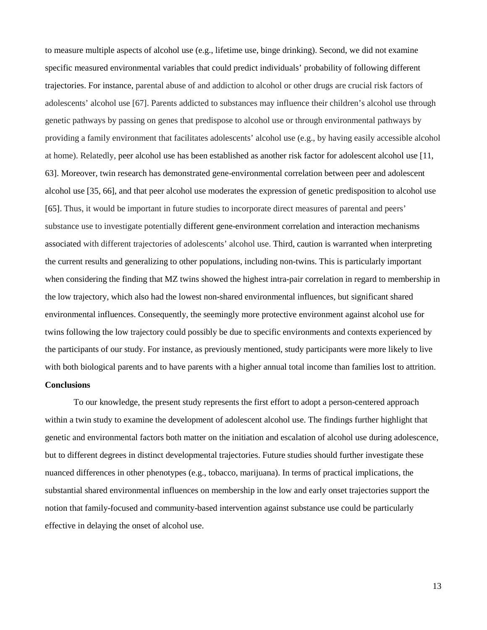to measure multiple aspects of alcohol use (e.g., lifetime use, binge drinking). Second, we did not examine specific measured environmental variables that could predict individuals' probability of following different trajectories. For instance, parental abuse of and addiction to alcohol or other drugs are crucial risk factors of adolescents' alcohol use [67]. Parents addicted to substances may influence their children's alcohol use through genetic pathways by passing on genes that predispose to alcohol use or through environmental pathways by providing a family environment that facilitates adolescents' alcohol use (e.g., by having easily accessible alcohol at home). Relatedly, peer alcohol use has been established as another risk factor for adolescent alcohol use [11, 63]. Moreover, twin research has demonstrated gene-environmental correlation between peer and adolescent alcohol use [35, 66], and that peer alcohol use moderates the expression of genetic predisposition to alcohol use [65]. Thus, it would be important in future studies to incorporate direct measures of parental and peers' substance use to investigate potentially different gene-environment correlation and interaction mechanisms associated with different trajectories of adolescents' alcohol use. Third, caution is warranted when interpreting the current results and generalizing to other populations, including non-twins. This is particularly important when considering the finding that MZ twins showed the highest intra-pair correlation in regard to membership in the low trajectory, which also had the lowest non-shared environmental influences, but significant shared environmental influences. Consequently, the seemingly more protective environment against alcohol use for twins following the low trajectory could possibly be due to specific environments and contexts experienced by the participants of our study. For instance, as previously mentioned, study participants were more likely to live with both biological parents and to have parents with a higher annual total income than families lost to attrition.

# **Conclusions**

To our knowledge, the present study represents the first effort to adopt a person-centered approach within a twin study to examine the development of adolescent alcohol use. The findings further highlight that genetic and environmental factors both matter on the initiation and escalation of alcohol use during adolescence, but to different degrees in distinct developmental trajectories. Future studies should further investigate these nuanced differences in other phenotypes (e.g., tobacco, marijuana). In terms of practical implications, the substantial shared environmental influences on membership in the low and early onset trajectories support the notion that family-focused and community-based intervention against substance use could be particularly effective in delaying the onset of alcohol use.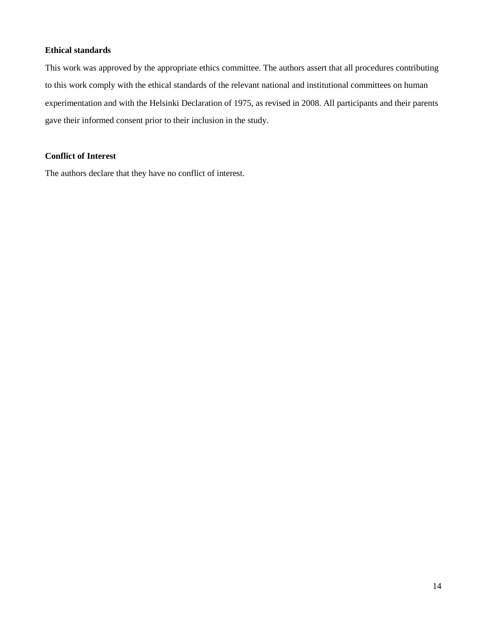## **Ethical standards**

This work was approved by the appropriate ethics committee. The authors assert that all procedures contributing to this work comply with the ethical standards of the relevant national and institutional committees on human experimentation and with the Helsinki Declaration of 1975, as revised in 2008. All participants and their parents gave their informed consent prior to their inclusion in the study.

# **Conflict of Interest**

The authors declare that they have no conflict of interest.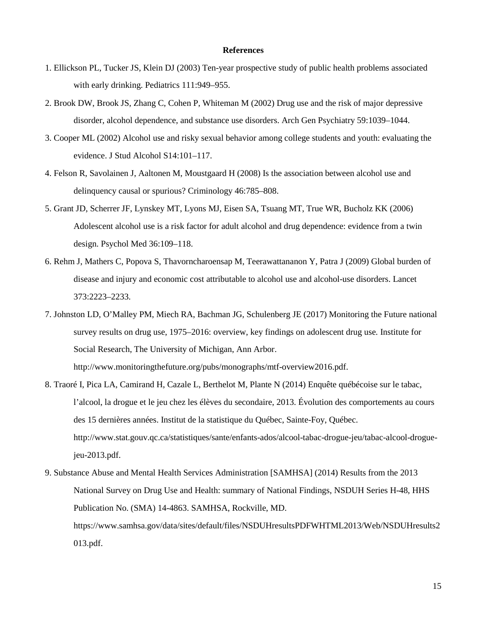#### **References**

- 1. Ellickson PL, Tucker JS, Klein DJ (2003) Ten-year prospective study of public health problems associated with early drinking. Pediatrics 111:949–955.
- 2. Brook DW, Brook JS, Zhang C, Cohen P, Whiteman M (2002) Drug use and the risk of major depressive disorder, alcohol dependence, and substance use disorders. Arch Gen Psychiatry 59:1039–1044.
- 3. Cooper ML (2002) Alcohol use and risky sexual behavior among college students and youth: evaluating the evidence. J Stud Alcohol S14:101–117.
- 4. Felson R, Savolainen J, Aaltonen M, Moustgaard H (2008) Is the association between alcohol use and delinquency causal or spurious? Criminology 46:785–808.
- 5. Grant JD, Scherrer JF, Lynskey MT, Lyons MJ, Eisen SA, Tsuang MT, True WR, Bucholz KK (2006) Adolescent alcohol use is a risk factor for adult alcohol and drug dependence: evidence from a twin design. Psychol Med 36:109–118.
- 6. Rehm J, Mathers C, Popova S, Thavorncharoensap M, Teerawattananon Y, Patra J (2009) Global burden of disease and injury and economic cost attributable to alcohol use and alcohol-use disorders. Lancet 373:2223–2233.
- 7. Johnston LD, O'Malley PM, Miech RA, Bachman JG, Schulenberg JE (2017) Monitoring the Future national survey results on drug use, 1975–2016: overview, key findings on adolescent drug use*.* Institute for Social Research, The University of Michigan, Ann Arbor. http://www.monitoringthefuture.org/pubs/monographs/mtf-overview2016.pdf.
- 8. Traoré I, Pica LA, Camirand H, Cazale L, Berthelot M, Plante N (2014) Enquête québécoise sur le tabac, l'alcool, la drogue et le jeu chez les élèves du secondaire, 2013. Évolution des comportements au cours des 15 dernières années. Institut de la statistique du Québec, Sainte-Foy, Québec. http://www.stat.gouv.qc.ca/statistiques/sante/enfants-ados/alcool-tabac-drogue-jeu/tabac-alcool-droguejeu-2013.pdf.
- 9. Substance Abuse and Mental Health Services Administration [SAMHSA] (2014) Results from the 2013 National Survey on Drug Use and Health: summary of National Findings, NSDUH Series H-48, HHS Publication No. (SMA) 14-4863. SAMHSA, Rockville, MD. https://www.samhsa.gov/data/sites/default/files/NSDUHresultsPDFWHTML2013/Web/NSDUHresults2 013.pdf.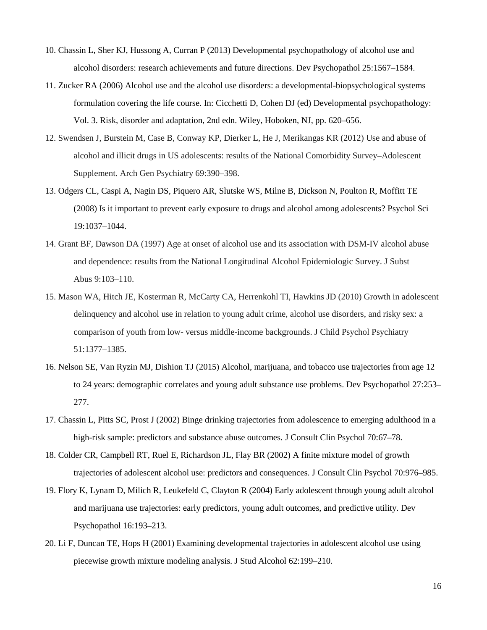- 10. Chassin L, Sher KJ, Hussong A, Curran P (2013) Developmental psychopathology of alcohol use and alcohol disorders: research achievements and future directions. Dev Psychopathol 25:1567–1584.
- 11. Zucker RA (2006) Alcohol use and the alcohol use disorders: a developmental-biopsychological systems formulation covering the life course. In: Cicchetti D, Cohen DJ (ed) Developmental psychopathology: Vol. 3. Risk, disorder and adaptation, 2nd edn. Wiley, Hoboken, NJ, pp. 620–656.
- 12. Swendsen J, Burstein M, Case B, Conway KP, Dierker L, He J, Merikangas KR (2012) Use and abuse of alcohol and illicit drugs in US adolescents: results of the National Comorbidity Survey–Adolescent Supplement. Arch Gen Psychiatry 69:390–398.
- 13. Odgers CL, Caspi A, Nagin DS, Piquero AR, Slutske WS, Milne B, Dickson N, Poulton R, Moffitt TE (2008) Is it important to prevent early exposure to drugs and alcohol among adolescents? Psychol Sci 19:1037–1044.
- 14. Grant BF, Dawson DA (1997) Age at onset of alcohol use and its association with DSM-IV alcohol abuse and dependence: results from the National Longitudinal Alcohol Epidemiologic Survey. J Subst Abus 9:103–110.
- 15. Mason WA, Hitch JE, Kosterman R, McCarty CA, Herrenkohl TI, Hawkins JD (2010) Growth in adolescent delinquency and alcohol use in relation to young adult crime, alcohol use disorders, and risky sex: a comparison of youth from low- versus middle-income backgrounds. J Child Psychol Psychiatry 51:1377–1385.
- 16. Nelson SE, Van Ryzin MJ, Dishion TJ (2015) Alcohol, marijuana, and tobacco use trajectories from age 12 to 24 years: demographic correlates and young adult substance use problems. Dev Psychopathol 27:253– 277.
- 17. Chassin L, Pitts SC, Prost J (2002) Binge drinking trajectories from adolescence to emerging adulthood in a high-risk sample: predictors and substance abuse outcomes. J Consult Clin Psychol 70:67–78.
- 18. Colder CR, Campbell RT, Ruel E, Richardson JL, Flay BR (2002) A finite mixture model of growth trajectories of adolescent alcohol use: predictors and consequences. J Consult Clin Psychol 70:976–985.
- 19. Flory K, Lynam D, Milich R, Leukefeld C, Clayton R (2004) Early adolescent through young adult alcohol and marijuana use trajectories: early predictors, young adult outcomes, and predictive utility. Dev Psychopathol 16:193–213.
- 20. Li F, Duncan TE, Hops H (2001) Examining developmental trajectories in adolescent alcohol use using piecewise growth mixture modeling analysis. J Stud Alcohol 62:199–210.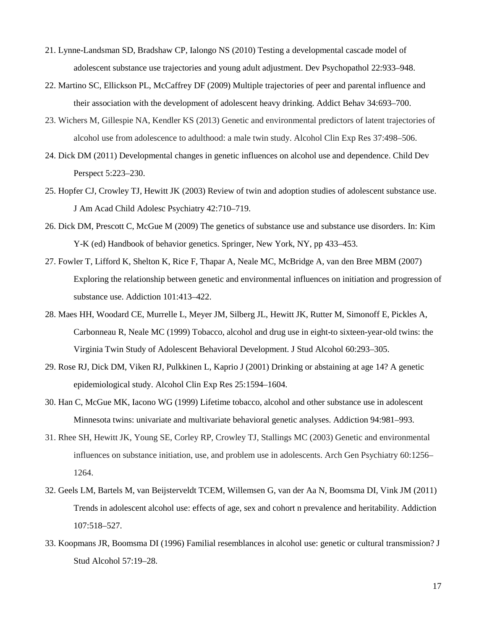- 21. Lynne-Landsman SD, Bradshaw CP, Ialongo NS (2010) Testing a developmental cascade model of adolescent substance use trajectories and young adult adjustment. Dev Psychopathol 22:933–948.
- 22. Martino SC, Ellickson PL, McCaffrey DF (2009) Multiple trajectories of peer and parental influence and their association with the development of adolescent heavy drinking. Addict Behav 34:693–700.
- 23. Wichers M, Gillespie NA, Kendler KS (2013) Genetic and environmental predictors of latent trajectories of alcohol use from adolescence to adulthood: a male twin study. Alcohol Clin Exp Res 37:498–506.
- 24. Dick DM (2011) Developmental changes in genetic influences on alcohol use and dependence. Child Dev Perspect 5:223–230.
- 25. Hopfer CJ, Crowley TJ, Hewitt JK (2003) Review of twin and adoption studies of adolescent substance use. J Am Acad Child Adolesc Psychiatry 42:710–719.
- 26. Dick DM, Prescott C, McGue M (2009) The genetics of substance use and substance use disorders. In: Kim Y-K (ed) Handbook of behavior genetics. Springer, New York, NY, pp 433–453.
- 27. Fowler T, Lifford K, Shelton K, Rice F, Thapar A, Neale MC, McBridge A, van den Bree MBM (2007) Exploring the relationship between genetic and environmental influences on initiation and progression of substance use. Addiction 101:413–422.
- 28. Maes HH, Woodard CE, Murrelle L, Meyer JM, Silberg JL, Hewitt JK, Rutter M, Simonoff E, Pickles A, Carbonneau R, Neale MC (1999) Tobacco, alcohol and drug use in eight-to sixteen-year-old twins: the Virginia Twin Study of Adolescent Behavioral Development. J Stud Alcohol 60:293–305.
- 29. Rose RJ, Dick DM, Viken RJ, Pulkkinen L, Kaprio J (2001) Drinking or abstaining at age 14? A genetic epidemiological study. Alcohol Clin Exp Res 25:1594–1604.
- 30. Han C, McGue MK, Iacono WG (1999) Lifetime tobacco, alcohol and other substance use in adolescent Minnesota twins: univariate and multivariate behavioral genetic analyses. Addiction 94:981–993.
- 31. Rhee SH, Hewitt JK, Young SE, Corley RP, Crowley TJ, Stallings MC (2003) Genetic and environmental influences on substance initiation, use, and problem use in adolescents. Arch Gen Psychiatry 60:1256– 1264.
- 32. Geels LM, Bartels M, van Beijsterveldt TCEM, Willemsen G, van der Aa N, Boomsma DI, Vink JM (2011) Trends in adolescent alcohol use: effects of age, sex and cohort n prevalence and heritability. Addiction 107:518–527.
- 33. Koopmans JR, Boomsma DI (1996) Familial resemblances in alcohol use: genetic or cultural transmission? J Stud Alcohol 57:19–28.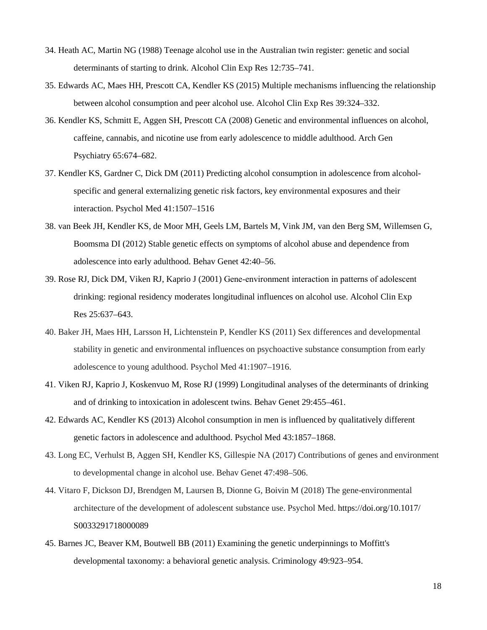- 34. Heath AC, Martin NG (1988) Teenage alcohol use in the Australian twin register: genetic and social determinants of starting to drink. Alcohol Clin Exp Res 12:735–741.
- 35. Edwards AC, Maes HH, Prescott CA, Kendler KS (2015) Multiple mechanisms influencing the relationship between alcohol consumption and peer alcohol use. Alcohol Clin Exp Res 39:324–332.
- 36. Kendler KS, Schmitt E, Aggen SH, Prescott CA (2008) Genetic and environmental influences on alcohol, caffeine, cannabis, and nicotine use from early adolescence to middle adulthood. Arch Gen Psychiatry 65:674–682.
- 37. Kendler KS, Gardner C, Dick DM (2011) Predicting alcohol consumption in adolescence from alcoholspecific and general externalizing genetic risk factors, key environmental exposures and their interaction. Psychol Med 41:1507–1516
- 38. van Beek JH, Kendler KS, de Moor MH, Geels LM, Bartels M, Vink JM, van den Berg SM, Willemsen G, Boomsma DI (2012) Stable genetic effects on symptoms of alcohol abuse and dependence from adolescence into early adulthood. Behav Genet 42:40–56.
- 39. Rose RJ, Dick DM, Viken RJ, Kaprio J (2001) Gene‐environment interaction in patterns of adolescent drinking: regional residency moderates longitudinal influences on alcohol use. Alcohol Clin Exp Res 25:637–643.
- 40. Baker JH, Maes HH, Larsson H, Lichtenstein P, Kendler KS (2011) Sex differences and developmental stability in genetic and environmental influences on psychoactive substance consumption from early adolescence to young adulthood. Psychol Med 41:1907–1916.
- 41. Viken RJ, Kaprio J, Koskenvuo M, Rose RJ (1999) Longitudinal analyses of the determinants of drinking and of drinking to intoxication in adolescent twins. Behav Genet 29:455–461.
- 42. Edwards AC, Kendler KS (2013) Alcohol consumption in men is influenced by qualitatively different genetic factors in adolescence and adulthood. Psychol Med 43:1857–1868.
- 43. Long EC, Verhulst B, Aggen SH, Kendler KS, Gillespie NA (2017) Contributions of genes and environment to developmental change in alcohol use. Behav Genet 47:498–506.
- 44. Vitaro F, Dickson DJ, Brendgen M, Laursen B, Dionne G, Boivin M (2018) The gene-environmental architecture of the development of adolescent substance use. Psychol Med. https://doi.org/10.1017/ S0033291718000089
- 45. Barnes JC, Beaver KM, Boutwell BB (2011) Examining the genetic underpinnings to Moffitt's developmental taxonomy: a behavioral genetic analysis. Criminology 49:923–954.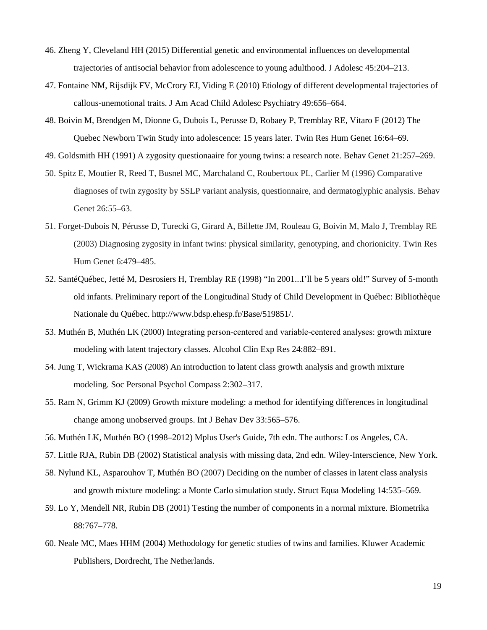- 46. Zheng Y, Cleveland HH (2015) Differential genetic and environmental influences on developmental trajectories of antisocial behavior from adolescence to young adulthood. J Adolesc 45:204–213.
- 47. Fontaine NM, Rijsdijk FV, McCrory EJ, Viding E (2010) Etiology of different developmental trajectories of callous-unemotional traits. J Am Acad Child Adolesc Psychiatry 49:656–664.
- 48. Boivin M, Brendgen M, Dionne G, Dubois L, Perusse D, Robaey P, Tremblay RE, Vitaro F (2012) The Quebec Newborn Twin Study into adolescence: 15 years later. Twin Res Hum Genet 16:64–69.
- 49. Goldsmith HH (1991) A zygosity questionaaire for young twins: a research note. Behav Genet 21:257–269.
- 50. Spitz E, Moutier R, Reed T, Busnel MC, Marchaland C, Roubertoux PL, Carlier M (1996) Comparative diagnoses of twin zygosity by SSLP variant analysis, questionnaire, and dermatoglyphic analysis. Behav Genet 26:55–63.
- 51. Forget-Dubois N, Pérusse D, Turecki G, Girard A, Billette JM, Rouleau G, Boivin M, Malo J, Tremblay RE (2003) Diagnosing zygosity in infant twins: physical similarity, genotyping, and chorionicity. Twin Res Hum Genet 6:479–485.
- 52. SantéQuébec, Jetté M, Desrosiers H, Tremblay RE (1998) "In 2001...I'll be 5 years old!" Survey of 5-month old infants. Preliminary report of the Longitudinal Study of Child Development in Québec: Bibliothèque Nationale du Québec. http://www.bdsp.ehesp.fr/Base/519851/.
- 53. Muthén B, Muthén LK (2000) Integrating person‐centered and variable‐centered analyses: growth mixture modeling with latent trajectory classes. Alcohol Clin Exp Res 24:882–891.
- 54. Jung T, Wickrama KAS (2008) An introduction to latent class growth analysis and growth mixture modeling. Soc Personal Psychol Compass 2:302–317.
- 55. Ram N, Grimm KJ (2009) Growth mixture modeling: a method for identifying differences in longitudinal change among unobserved groups. Int J Behav Dev 33:565–576.
- 56. Muthén LK, Muthén BO (1998–2012) Mplus User's Guide, 7th edn. The authors: Los Angeles, CA.
- 57. Little RJA, Rubin DB (2002) Statistical analysis with missing data, 2nd edn. Wiley-Interscience, New York.
- 58. Nylund KL, Asparouhov T, Muthén BO (2007) Deciding on the number of classes in latent class analysis and growth mixture modeling: a Monte Carlo simulation study. Struct Equa Modeling 14:535–569.
- 59. Lo Y, Mendell NR, Rubin DB (2001) Testing the number of components in a normal mixture. Biometrika 88:767–778.
- 60. Neale MC, Maes HHM (2004) Methodology for genetic studies of twins and families*.* Kluwer Academic Publishers, Dordrecht, The Netherlands.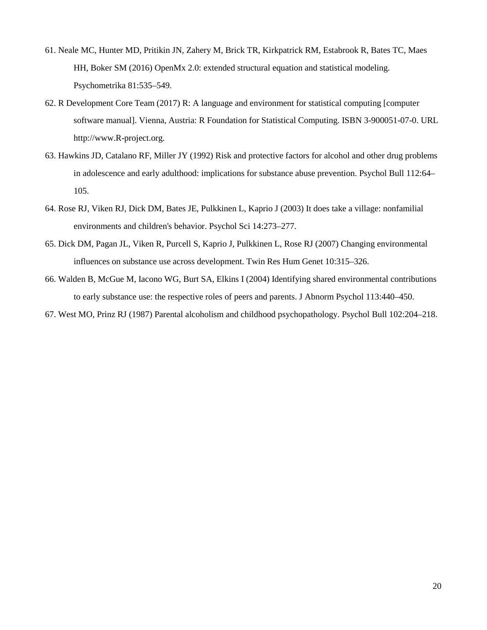- 61. Neale MC, Hunter MD, Pritikin JN, Zahery M, Brick TR, Kirkpatrick RM, Estabrook R, Bates TC, Maes HH, Boker SM (2016) OpenMx 2.0: extended structural equation and statistical modeling. Psychometrika 81:535–549.
- 62. R Development Core Team (2017) R: A language and environment for statistical computing [computer software manual]. Vienna, Austria: R Foundation for Statistical Computing. ISBN 3-900051-07-0. URL http://www.R-project.org.
- 63. Hawkins JD, Catalano RF, Miller JY (1992) Risk and protective factors for alcohol and other drug problems in adolescence and early adulthood: implications for substance abuse prevention. Psychol Bull 112:64– 105.
- 64. Rose RJ, Viken RJ, Dick DM, Bates JE, Pulkkinen L, Kaprio J (2003) It does take a village: nonfamilial environments and children's behavior. Psychol Sci 14:273–277.
- 65. Dick DM, Pagan JL, Viken R, Purcell S, Kaprio J, Pulkkinen L, Rose RJ (2007) Changing environmental influences on substance use across development. Twin Res Hum Genet 10:315–326.
- 66. Walden B, McGue M, Iacono WG, Burt SA, Elkins I (2004) Identifying shared environmental contributions to early substance use: the respective roles of peers and parents. J Abnorm Psychol 113:440–450.

67. West MO, Prinz RJ (1987) Parental alcoholism and childhood psychopathology. Psychol Bull 102:204–218.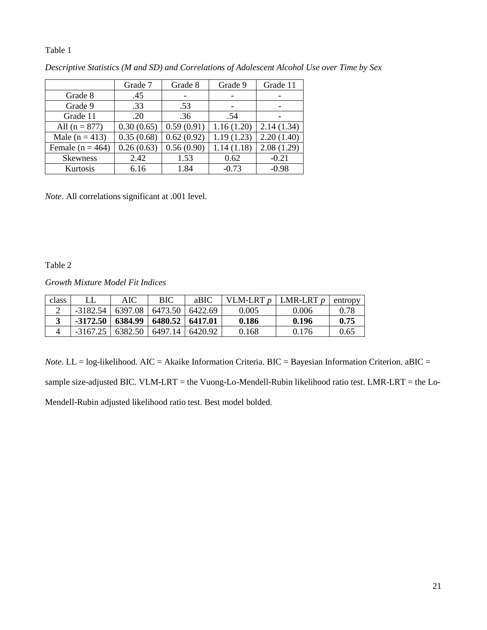## Table 1

|                      | Grade 7    | Grade 8    | Grade 9    | Grade 11   |
|----------------------|------------|------------|------------|------------|
| Grade 8              | .45        |            |            |            |
| Grade 9              | .33        | .53        |            |            |
| Grade 11             | .20        | .36        | .54        |            |
| All $(n = 877)$      | 0.30(0.65) | 0.59(0.91) | 1.16(1.20) | 2.14(1.34) |
| Male $(n = 413)$     | 0.35(0.68) | 0.62(0.92) | 1.19(1.23) | 2.20(1.40) |
| Female ( $n = 464$ ) | 0.26(0.63) | 0.56(0.90) | 1.14(1.18) | 2.08(1.29) |
| <b>Skewness</b>      | 2.42       | 1.53       | 0.62       | $-0.21$    |
| Kurtosis             | 6.16       | 1.84       | $-0.73$    | $-0.98$    |

*Descriptive Statistics (M and SD) and Correlations of Adolescent Alcohol Use over Time by Sex*

*Note*. All correlations significant at .001 level.

Table 2

*Growth Mixture Model Fit Indices*

| class |            | AIC     | BIC     | aBIC     | VLM-LRT <i>p</i> | LMR-LRT $p$ | entropy |
|-------|------------|---------|---------|----------|------------------|-------------|---------|
|       | $-3182.54$ | 6397.08 | 6473.50 | 6422.69  | 0.005            | 0.006       | 0.78    |
|       | $-3172.50$ | 6384.99 | 6480.52 | 16417.01 | 0.186            | 0.196       | 0.75    |
|       | $-3167.25$ | 6382.50 | 6497.14 | 6420.92  | 0.168            | 0.176       | 0.65    |

*Note*. LL = log-likelihood. AIC = Akaike Information Criteria. BIC = Bayesian Information Criterion. aBIC = sample size-adjusted BIC. VLM-LRT = the Vuong-Lo-Mendell-Rubin likelihood ratio test. LMR-LRT = the Lo-Mendell-Rubin adjusted likelihood ratio test. Best model bolded.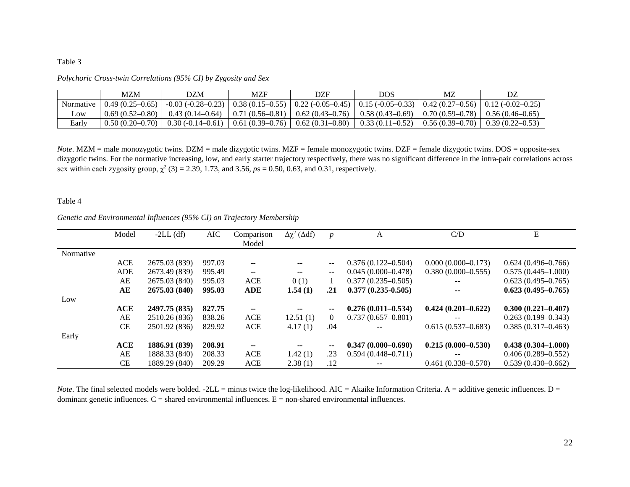## Table 3

|           | MZM               | <b>DZM</b>                                                                                                                                                              | MZF                            | DZF               | DOS                                                         | MZ                                   |                     |
|-----------|-------------------|-------------------------------------------------------------------------------------------------------------------------------------------------------------------------|--------------------------------|-------------------|-------------------------------------------------------------|--------------------------------------|---------------------|
| Normative | $0.49(0.25-0.65)$ | $-0.03$ ( $-0.28-0.23$ ) $\mid 0.38$ ( $0.15-0.55$ ) $\mid 0.22$ ( $-0.05-0.45$ ) $\mid 0.15$ ( $-0.05-0.33$ ) $\mid 0.42$ ( $0.27-0.56$ ) $\mid 0.12$ ( $-0.02-0.25$ ) |                                |                   |                                                             |                                      |                     |
| LOW       | $0.69(0.52-0.80)$ | $0.43(0.14-0.64)$                                                                                                                                                       | $\mid$ 0.71 (0.56–0.81) $\mid$ | $0.62(0.43-0.76)$ | $0.58(0.43-0.69)$   0.70 $(0.59-0.78)$   0.56 $(0.46-0.65)$ |                                      |                     |
| Early     | $0.50(0.20-0.70)$ | $0.30(-0.14-0.61)$                                                                                                                                                      | $0.61(0.39-0.76)$              | $0.62(0.31-0.80)$ |                                                             | $0.33(0.11-0.52)$   0.56 (0.39-0.70) | $0.39(0.22 - 0.53)$ |

*Polychoric Cross-twin Correlations (95% CI) by Zygosity and Sex*

*Note*. MZM = male monozygotic twins. DZM = male dizygotic twins. MZF = female monozygotic twins. DZF = female dizygotic twins. DOS = opposite-sex dizygotic twins. For the normative increasing, low, and early starter trajectory respectively, there was no significant difference in the intra-pair correlations across sex within each zygosity group,  $\chi^2$  (3) = 2.39, 1.73, and 3.56,  $p_s$  = 0.50, 0.63, and 0.31, respectively.

#### Table 4

## *Genetic and Environmental Influences (95% CI) on Trajectory Membership*

|           | Model      | $-2LL$ (df)   | AIC    | Comparison               | $\Delta \chi^2$ ( $\Delta df$ ) | $\boldsymbol{p}$            | A                      | C/D                      | E                      |
|-----------|------------|---------------|--------|--------------------------|---------------------------------|-----------------------------|------------------------|--------------------------|------------------------|
|           |            |               |        | Model                    |                                 |                             |                        |                          |                        |
| Normative |            |               |        |                          |                                 |                             |                        |                          |                        |
|           | <b>ACE</b> | 2675.03 (839) | 997.03 | $-$                      | $- -$                           | $\qquad \qquad -$           | $0.376(0.122 - 0.504)$ | $0.000(0.000-0.173)$     | $0.624(0.496 - 0.766)$ |
|           | <b>ADE</b> | 2673.49 (839) | 995.49 | $\mathbf{u}$             | $-$                             | $\mathcal{L}_{\mathcal{F}}$ | $0.045(0.000-0.478)$   | $0.380(0.000-0.555)$     | $0.575(0.445 - 1.000)$ |
|           | AE         | 2675.03 (840) | 995.03 | ACE                      | 0(1)                            |                             | $0.377(0.235 - 0.505)$ | $- -$                    | $0.623(0.495 - 0.765)$ |
|           | AЕ         | 2675.03 (840) | 995.03 | <b>ADE</b>               | 1.54(1)                         | .21                         | $0.377(0.235-0.505)$   | $\overline{\phantom{a}}$ | $0.623(0.495 - 0.765)$ |
| Low       |            |               |        |                          |                                 |                             |                        |                          |                        |
|           | ACE        | 2497.75 (835) | 827.75 | $\overline{\phantom{a}}$ | $\overline{\phantom{a}}$        | --                          | $0.276(0.011 - 0.534)$ | $0.424(0.201 - 0.622)$   | $0.300(0.221 - 0.407)$ |
|           | AE         | 2510.26 (836) | 838.26 | <b>ACE</b>               | 12.51(1)                        | $\overline{0}$              | $0.737(0.657-0.801)$   |                          | $0.263(0.199 - 0.343)$ |
|           | CE         | 2501.92 (836) | 829.92 | ACE                      | 4.17(1)                         | .04                         |                        | $0.615(0.537-0.683)$     | $0.385(0.317 - 0.463)$ |
| Early     |            |               |        |                          |                                 |                             |                        |                          |                        |
|           | ACE        | 1886.91 (839) | 208.91 | ۰.                       | --                              | $\sim$                      | $0.347(0.000 - 0.690)$ | $0.215(0.000 - 0.530)$   | $0.438(0.304 - 1.000)$ |
|           | AE         | 1888.33 (840) | 208.33 | <b>ACE</b>               | 1.42(1)                         | .23                         | $0.594(0.448 - 0.711)$ |                          | $0.406(0.289 - 0.552)$ |
|           | <b>CE</b>  | 1889.29 (840) | 209.29 | ACE                      | 2.38(1)                         | .12                         |                        | $0.461(0.338 - 0.570)$   | $0.539(0.430 - 0.662)$ |

*Note*. The final selected models were bolded.  $-2LL =$  minus twice the log-likelihood. AIC = Akaike Information Criteria. A = additive genetic influences. D = dominant genetic influences.  $C =$  shared environmental influences.  $E =$  non-shared environmental influences.